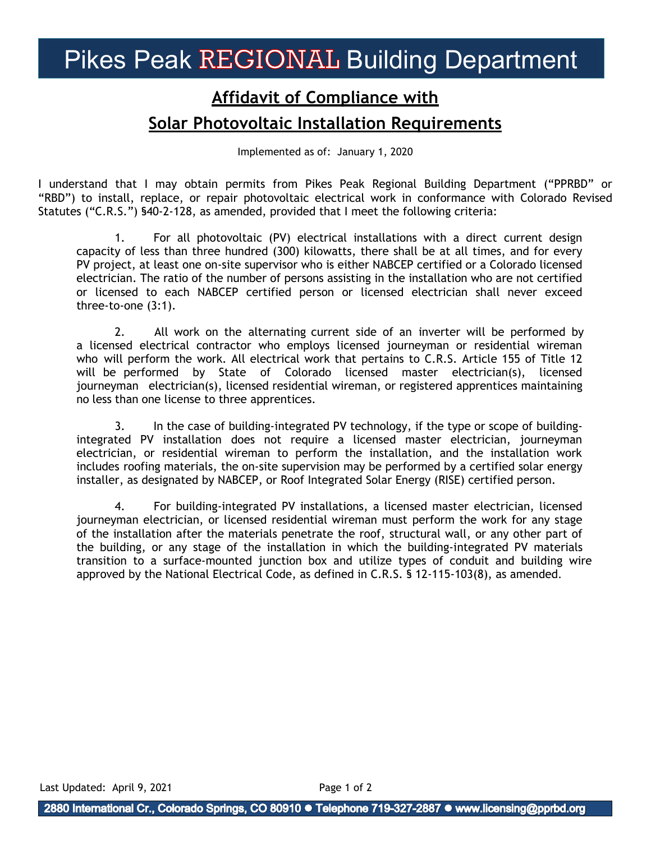# Pikes Peak REGIONAL Building Department

## **Affidavit of Compliance with**

#### **Solar Photovoltaic Installation Requirements**

Implemented as of: January 1, 2020

I understand that I may obtain permits from Pikes Peak Regional Building Department ("PPRBD" or "RBD") to install, replace, or repair photovoltaic electrical work in conformance with Colorado Revised Statutes ("C.R.S.") §40-2-128, as amended, provided that I meet the following criteria:

1. For all photovoltaic (PV) electrical installations with a direct current design capacity of less than three hundred (300) kilowatts, there shall be at all times, and for every PV project, at least one on-site supervisor who is either NABCEP certified or a Colorado licensed electrician. The ratio of the number of persons assisting in the installation who are not certified or licensed to each NABCEP certified person or licensed electrician shall never exceed three-to-one (3:1).

2. All work on the alternating current side of an inverter will be performed by a licensed electrical contractor who employs licensed journeyman or residential wireman who will perform the work. All electrical work that pertains to C.R.S. Article 155 of Title 12 will be performed by State of Colorado licensed master electrician(s), licensed journeyman electrician(s), licensed residential wireman, or registered apprentices maintaining no less than one license to three apprentices.

3. In the case of building-integrated PV technology, if the type or scope of buildingintegrated PV installation does not require a licensed master electrician, journeyman electrician, or residential wireman to perform the installation, and the installation work includes roofing materials, the on-site supervision may be performed by a certified solar energy installer, as designated by NABCEP, or Roof Integrated Solar Energy (RISE) certified person.

4. For building-integrated PV installations, a licensed master electrician, licensed journeyman electrician, or licensed residential wireman must perform the work for any stage of the installation after the materials penetrate the roof, structural wall, or any other part of the building, or any stage of the installation in which the building-integrated PV materials transition to a surface-mounted junction box and utilize types of conduit and building wire approved by the National Electrical Code, as defined in C.R.S. § 12-115-103(8), as amended.

Last Updated: April 9, 2021 Page 1 of 2